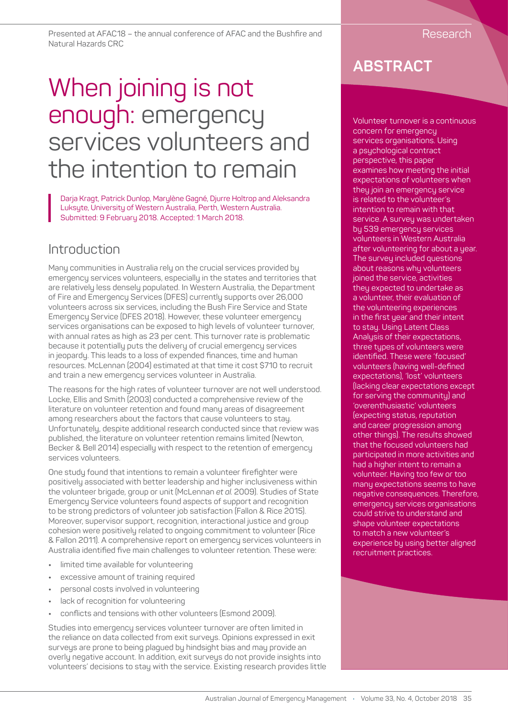Presented at AFAC18 – the annual conference of AFAC and the Bushfire and Natural Hazards CRC

# When joining is not enough: emergency services volunteers and the intention to remain

Darja Kragt, Patrick Dunlop, Marylène Gagné, Djurre Holtrop and Aleksandra Luksyte, University of Western Australia, Perth, Western Australia. Submitted: 9 February 2018. Accepted: 1 March 2018.

## Introduction

Many communities in Australia rely on the crucial services provided by emergency services volunteers, especially in the states and territories that are relatively less densely populated. In Western Australia, the Department of Fire and Emergency Services (DFES) currently supports over 26,000 volunteers across six services, including the Bush Fire Service and State Emergency Service (DFES 2018). However, these volunteer emergency services organisations can be exposed to high levels of volunteer turnover, with annual rates as high as 23 per cent. This turnover rate is problematic because it potentially puts the delivery of crucial emergency services in jeopardy. This leads to a loss of expended finances, time and human resources. McLennan (2004) estimated at that time it cost \$710 to recruit and train a new emergency services volunteer in Australia.

The reasons for the high rates of volunteer turnover are not well understood. Locke, Ellis and Smith (2003) conducted a comprehensive review of the literature on volunteer retention and found many areas of disagreement among researchers about the factors that cause volunteers to stay. Unfortunately, despite additional research conducted since that review was published, the literature on volunteer retention remains limited (Newton, Becker & Bell 2014) especially with respect to the retention of emergency services volunteers.

One study found that intentions to remain a volunteer firefighter were positively associated with better leadership and higher inclusiveness within the volunteer brigade, group or unit (McLennan *et al*. 2009). Studies of State Emergency Service volunteers found aspects of support and recognition to be strong predictors of volunteer job satisfaction (Fallon & Rice 2015). Moreover, supervisor support, recognition, interactional justice and group cohesion were positively related to ongoing commitment to volunteer (Rice & Fallon 2011). A comprehensive report on emergency services volunteers in Australia identified five main challenges to volunteer retention. These were:

- **•** limited time available for volunteering
- **•** excessive amount of training required
- **•** personal costs involved in volunteering
- **•** lack of recognition for volunteering
- **•** conflicts and tensions with other volunteers (Esmond 2009).

Studies into emergency services volunteer turnover are often limited in the reliance on data collected from exit surveys. Opinions expressed in exit surveys are prone to being plagued by hindsight bias and may provide an overly negative account. In addition, exit surveys do not provide insights into volunteers' decisions to stay with the service. Existing research provides little

# **ABSTRACT**

Volunteer turnover is a continuous concern for emergency services organisations. Using a psychological contract perspective, this paper examines how meeting the initial expectations of volunteers when they join an emergency service is related to the volunteer's intention to remain with that service. A survey was undertaken by 539 emergency services volunteers in Western Australia after volunteering for about a year. The survey included questions about reasons why volunteers joined the service, activities they expected to undertake as a volunteer, their evaluation of the volunteering experiences in the first year and their intent to stay. Using Latent Class Analysis of their expectations, three types of volunteers were identified. These were 'focused' volunteers (having well-defined expectations), 'lost' volunteers (lacking clear expectations except for serving the community) and 'overenthusiastic' volunteers (expecting status, reputation and career progression among other things). The results showed that the focused volunteers had participated in more activities and had a higher intent to remain a volunteer. Having too few or too many expectations seems to have negative consequences. Therefore, emergency services organisations could strive to understand and shape volunteer expectations to match a new volunteer's experience by using better aligned recruitment practices.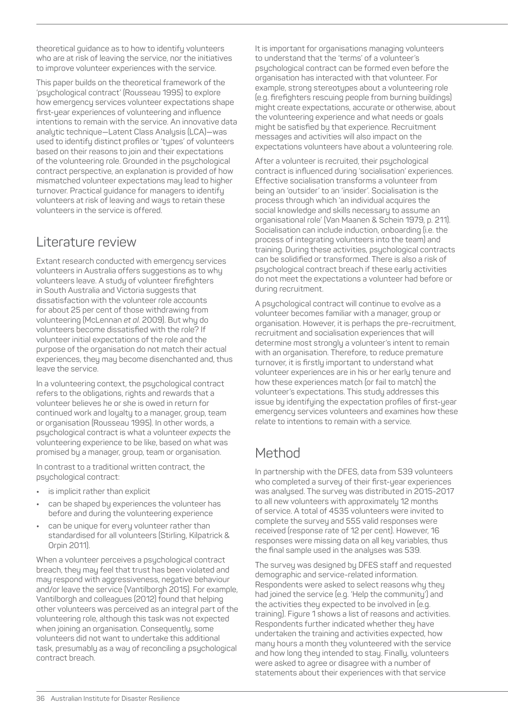theoretical guidance as to how to identify volunteers who are at risk of leaving the service, nor the initiatives to improve volunteer experiences with the service.

This paper builds on the theoretical framework of the 'psychological contract' (Rousseau 1995) to explore how emergency services volunteer expectations shape first-year experiences of volunteering and influence intentions to remain with the service. An innovative data analytic technique—Latent Class Analysis (LCA)—was used to identify distinct profiles or 'types' of volunteers based on their reasons to join and their expectations of the volunteering role. Grounded in the psychological contract perspective, an explanation is provided of how mismatched volunteer expectations may lead to higher turnover. Practical guidance for managers to identify volunteers at risk of leaving and ways to retain these volunteers in the service is offered.

#### Literature review

Extant research conducted with emergency services volunteers in Australia offers suggestions as to why volunteers leave. A study of volunteer firefighters in South Australia and Victoria suggests that dissatisfaction with the volunteer role accounts for about 25 per cent of those withdrawing from volunteering (McLennan *et al*. 2009). But why do volunteers become dissatisfied with the role? If volunteer initial expectations of the role and the purpose of the organisation do not match their actual experiences, they may become disenchanted and, thus leave the service.

In a volunteering context, the psychological contract refers to the obligations, rights and rewards that a volunteer believes he or she is owed in return for continued work and loyalty to a manager, group, team or organisation (Rousseau 1995). In other words, a psychological contract is what a volunteer *expects* the volunteering experience to be like, based on what was promised by a manager, group, team or organisation.

In contrast to a traditional written contract, the psychological contract:

- **•** is implicit rather than explicit
- **•** can be shaped by experiences the volunteer has before and during the volunteering experience
- **•** can be unique for every volunteer rather than standardised for all volunteers (Stirling, Kilpatrick & Orpin 2011).

When a volunteer perceives a psychological contract breach, they may feel that trust has been violated and may respond with aggressiveness, negative behaviour and/or leave the service (Vantilborgh 2015). For example, Vantilborgh and colleagues (2012) found that helping other volunteers was perceived as an integral part of the volunteering role, although this task was not expected when joining an organisation. Consequently, some volunteers did not want to undertake this additional task, presumably as a way of reconciling a psychological contract breach.

It is important for organisations managing volunteers to understand that the 'terms' of a volunteer's psychological contract can be formed even before the organisation has interacted with that volunteer. For example, strong stereotypes about a volunteering role (e.g. firefighters rescuing people from burning buildings) might create expectations, accurate or otherwise, about the volunteering experience and what needs or goals might be satisfied by that experience. Recruitment messages and activities will also impact on the expectations volunteers have about a volunteering role.

After a volunteer is recruited, their psychological contract is influenced during 'socialisation' experiences. Effective socialisation transforms a volunteer from being an 'outsider' to an 'insider'. Socialisation is the process through which 'an individual acquires the social knowledge and skills necessary to assume an organisational role' (Van Maanen & Schein 1979, p. 211). Socialisation can include induction, onboarding (i.e. the process of integrating volunteers into the team) and training. During these activities, psychological contracts can be solidified or transformed. There is also a risk of psychological contract breach if these early activities do not meet the expectations a volunteer had before or during recruitment.

A psychological contract will continue to evolve as a volunteer becomes familiar with a manager, group or organisation. However, it is perhaps the pre-recruitment, recruitment and socialisation experiences that will determine most strongly a volunteer's intent to remain with an organisation. Therefore, to reduce premature turnover, it is firstly important to understand what volunteer experiences are in his or her early tenure and how these experiences match (or fail to match) the volunteer's expectations. This study addresses this issue by identifying the expectation profiles of first-year emergency services volunteers and examines how these relate to intentions to remain with a service.

# Method

In partnership with the DFES, data from 539 volunteers who completed a survey of their first-year experiences was analysed. The survey was distributed in 2015-2017 to all new volunteers with approximately 12 months of service. A total of 4535 volunteers were invited to complete the survey and 555 valid responses were received (response rate of 12 per cent). However, 16 responses were missing data on all key variables, thus the final sample used in the analyses was 539.

The survey was designed by DFES staff and requested demographic and service-related information. Respondents were asked to select reasons why they had joined the service (e.g. 'Help the community') and the activities they expected to be involved in (e.g. training). Figure 1 shows a list of reasons and activities. Respondents further indicated whether they have undertaken the training and activities expected, how many hours a month they volunteered with the service and how long they intended to stay. Finally, volunteers were asked to agree or disagree with a number of statements about their experiences with that service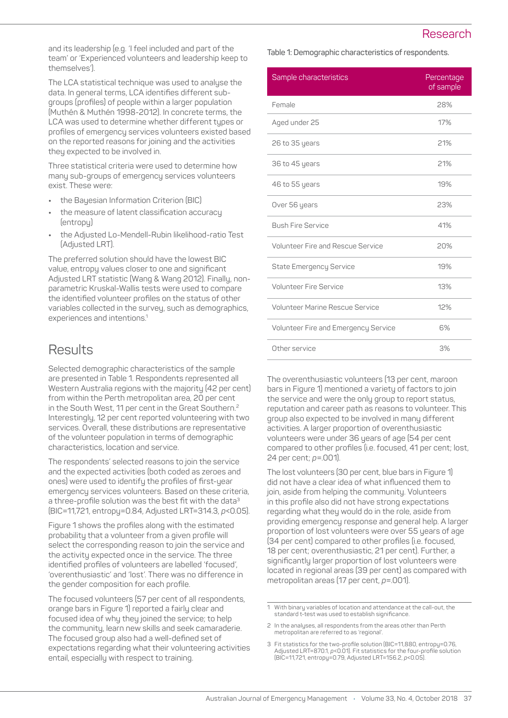#### Research

and its leadership (e.g. 'I feel included and part of the team' or 'Experienced volunteers and leadership keep to themselves').

The LCA statistical technique was used to analyse the data. In general terms, LCA identifies different subgroups (profiles) of people within a larger population (Muthén & Muthén 1998-2012). In concrete terms, the LCA was used to determine whether different types or profiles of emergency services volunteers existed based on the reported reasons for joining and the activities they expected to be involved in.

Three statistical criteria were used to determine how many sub-groups of emergency services volunteers exist. These were:

- **•** the Bayesian Information Criterion (BIC)
- **•** the measure of latent classification accuracy (entropy)
- **•** the Adjusted Lo-Mendell-Rubin likelihood-ratio Test (Adjusted LRT).

The preferred solution should have the lowest BIC value, entropy values closer to one and significant Adjusted LRT statistic (Wang & Wang 2012). Finally, nonparametric Kruskal-Wallis tests were used to compare the identified volunteer profiles on the status of other variables collected in the survey, such as demographics, experiences and intentions.<sup>1</sup>

### **Results**

Selected demographic characteristics of the sample are presented in Table 1. Respondents represented all Western Australia regions with the majority (42 per cent) from within the Perth metropolitan area, 20 per cent in the South West, 11 per cent in the Great Southern.<sup>2</sup> Interestingly, 12 per cent reported volunteering with two services. Overall, these distributions are representative of the volunteer population in terms of demographic characteristics, location and service.

The respondents' selected reasons to join the service and the expected activities (both coded as zeroes and ones) were used to identify the profiles of first-year emergency services volunteers. Based on these criteria, a three-profile solution was the best fit with the data<sup>3</sup> (BIC=11,721, entropy=0.84, Adjusted LRT=314.3, *p*<0.05).

Figure 1 shows the profiles along with the estimated probability that a volunteer from a given profile will select the corresponding reason to join the service and the activity expected once in the service. The three identified profiles of volunteers are labelled 'focused', 'overenthusiastic' and 'lost'. There was no difference in the gender composition for each profile.

The focused volunteers (57 per cent of all respondents, orange bars in Figure 1) reported a fairly clear and focused idea of why they joined the service; to help the community, learn new skills and seek camaraderie. The focused group also had a well-defined set of expectations regarding what their volunteering activities entail, especially with respect to training.

**Table 1: Demographic characteristics of respondents.**

| Sample characteristics                   | Percentage<br>of sample |
|------------------------------------------|-------------------------|
| Female                                   | 28%                     |
| Aged under 25                            | 17%                     |
| 26 to 35 years                           | 21%                     |
| 36 to 45 years                           | 21%                     |
| 46 to 55 years                           | 19%                     |
| Over 56 years                            | 23%                     |
| <b>Bush Fire Service</b>                 | 41%                     |
| <b>Volunteer Fire and Rescue Service</b> | 20%                     |
| <b>State Emergency Service</b>           | 19%                     |
| <b>Volunteer Fire Service</b>            | 13%                     |
| <b>Volunteer Marine Rescue Service</b>   | 12%                     |
| Volunteer Fire and Emergency Service     | 6%                      |
| Other service                            | 3%                      |

The overenthusiastic volunteers (13 per cent, maroon bars in Figure 1) mentioned a variety of factors to join the service and were the only group to report status, reputation and career path as reasons to volunteer. This group also expected to be involved in many different activities. A larger proportion of overenthusiastic volunteers were under 36 years of age (54 per cent compared to other profiles (i.e. focused, 41 per cent; lost, 24 per cent; *p*=.001).

The lost volunteers (30 per cent, blue bars in Figure 1) did not have a clear idea of what influenced them to join, aside from helping the community. Volunteers in this profile also did not have strong expectations regarding what they would do in the role, aside from providing emergency response and general help. A larger proportion of lost volunteers were over 55 years of age (34 per cent) compared to other profiles (i.e. focused, 18 per cent; overenthusiastic, 21 per cent). Further, a significantly larger proportion of lost volunteers were located in regional areas (39 per cent) as compared with metropolitan areas (17 per cent, *p*=.001).

<sup>1</sup> With binary variables of location and attendance at the call-out, the standard t-test was used to establish significance.

<sup>2</sup> In the analyses, all respondents from the areas other than Perth metropolitan are referred to as 'regional

<sup>3</sup> Fit statistics for the two-profile solution (BIC=11,880, entropy=0.76, Adjusted LRT=870.1, *p*<0.01). Fit statistics for the four-profile solution (BIC=11,721, entropy=0.79, Adjusted LRT=156.2, *p*<0.05).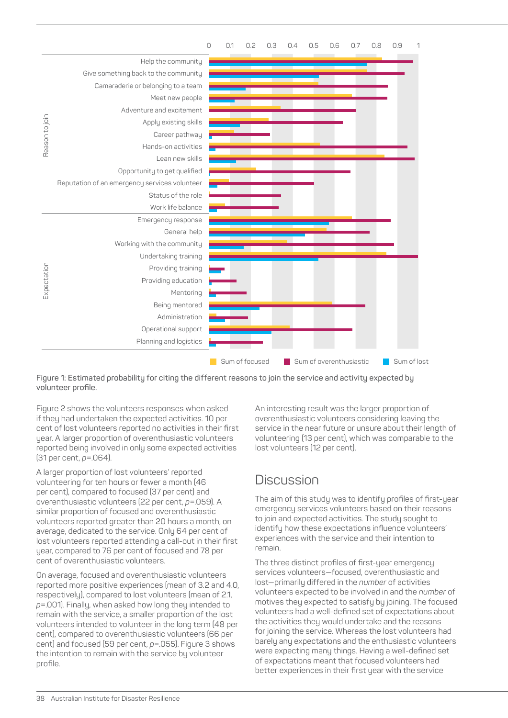

**Figure 1: Estimated probability for citing the different reasons to join the service and activity expected by volunteer profile.**

Figure 2 shows the volunteers responses when asked if they had undertaken the expected activities. 10 per cent of lost volunteers reported no activities in their first year. A larger proportion of overenthusiastic volunteers reported being involved in only some expected activities (31 per cent, *p*=.064).

A larger proportion of lost volunteers' reported volunteering for ten hours or fewer a month (46 per cent), compared to focused (37 per cent) and overenthusiastic volunteers (22 per cent, *p*=.059). A similar proportion of focused and overenthusiastic volunteers reported greater than 20 hours a month, on average, dedicated to the service. Only 64 per cent of lost volunteers reported attending a call-out in their first year, compared to 76 per cent of focused and 78 per cent of overenthusiastic volunteers.

On average, focused and overenthusiastic volunteers reported more positive experiences (mean of 3.2 and 4.0, respectively), compared to lost volunteers (mean of 2.1, *p*=.001). Finally, when asked how long they intended to remain with the service, a smaller proportion of the lost volunteers intended to volunteer in the long term (48 per cent), compared to overenthusiastic volunteers (66 per cent) and focused (59 per cent, *p*=.055). Figure 3 shows the intention to remain with the service by volunteer profile.

An interesting result was the larger proportion of overenthusiastic volunteers considering leaving the service in the near future or unsure about their length of volunteering (13 per cent), which was comparable to the lost volunteers (12 per cent).

### **Discussion**

The aim of this study was to identify profiles of first-year emergency services volunteers based on their reasons to join and expected activities. The study sought to identify how these expectations influence volunteers' experiences with the service and their intention to remain.

The three distinct profiles of first-year emergency services volunteers—focused, overenthusiastic and lost—primarily differed in the *number* of activities volunteers expected to be involved in and the *number* of motives they expected to satisfy by joining. The focused volunteers had a well-defined set of expectations about the activities they would undertake and the reasons for joining the service. Whereas the lost volunteers had barely any expectations and the enthusiastic volunteers were expecting many things. Having a well-defined set of expectations meant that focused volunteers had better experiences in their first year with the service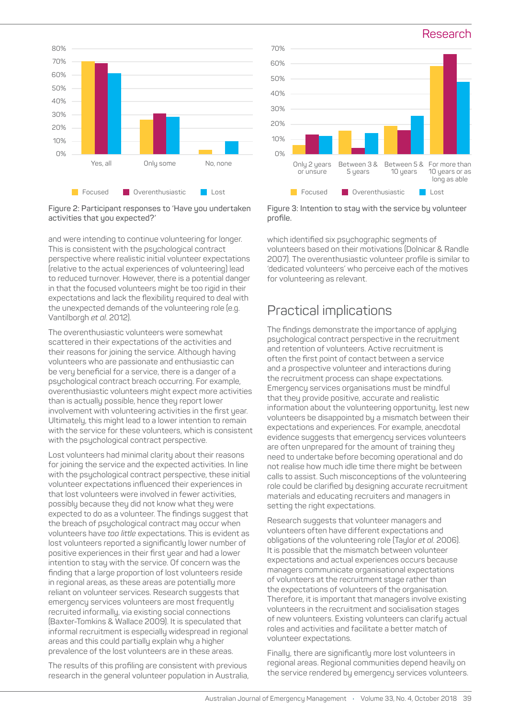

**Figure 2: Participant responses to 'Have you undertaken activities that you expected?'**

and were intending to continue volunteering for longer. This is consistent with the psychological contract perspective where realistic initial volunteer expectations (relative to the actual experiences of volunteering) lead to reduced turnover. However, there is a potential danger in that the focused volunteers might be too rigid in their expectations and lack the flexibility required to deal with the unexpected demands of the volunteering role (e.g. Vantilborgh *et al*. 2012).

The overenthusiastic volunteers were somewhat scattered in their expectations of the activities and their reasons for joining the service. Although having volunteers who are passionate and enthusiastic can be very beneficial for a service, there is a danger of a psychological contract breach occurring. For example, overenthusiastic volunteers might expect more activities than is actually possible, hence they report lower involvement with volunteering activities in the first year. Ultimately, this might lead to a lower intention to remain with the service for these volunteers, which is consistent with the psychological contract perspective.

Lost volunteers had minimal clarity about their reasons for joining the service and the expected activities. In line with the psychological contract perspective, these initial volunteer expectations influenced their experiences in that lost volunteers were involved in fewer activities, possibly because they did not know what they were expected to do as a volunteer. The findings suggest that the breach of psychological contract may occur when volunteers have *too little* expectations. This is evident as lost volunteers reported a significantly lower number of positive experiences in their first year and had a lower intention to stay with the service. Of concern was the finding that a large proportion of lost volunteers reside in regional areas, as these areas are potentially more reliant on volunteer services. Research suggests that emergency services volunteers are most frequently recruited informally, via existing social connections (Baxter-Tomkins & Wallace 2009). It is speculated that informal recruitment is especially widespread in regional areas and this could partially explain why a higher prevalence of the lost volunteers are in these areas.

The results of this profiling are consistent with previous research in the general volunteer population in Australia,



Research

**Figure 3: Intention to stay with the service by volunteer profile.**

which identified six psychographic segments of volunteers based on their motivations (Dolnicar & Randle 2007). The overenthusiastic volunteer profile is similar to 'dedicated volunteers' who perceive each of the motives for volunteering as relevant.

## Practical implications

The findings demonstrate the importance of applying psychological contract perspective in the recruitment and retention of volunteers. Active recruitment is often the first point of contact between a service and a prospective volunteer and interactions during the recruitment process can shape expectations. Emergency services organisations must be mindful that they provide positive, accurate and realistic information about the volunteering opportunity, lest new volunteers be disappointed by a mismatch between their expectations and experiences. For example, anecdotal evidence suggests that emergency services volunteers are often unprepared for the amount of training they need to undertake before becoming operational and do not realise how much idle time there might be between calls to assist. Such misconceptions of the volunteering role could be clarified by designing accurate recruitment materials and educating recruiters and managers in setting the right expectations.

Research suggests that volunteer managers and volunteers often have different expectations and obligations of the volunteering role (Taylor *et al*. 2006). It is possible that the mismatch between volunteer expectations and actual experiences occurs because managers communicate organisational expectations of volunteers at the recruitment stage rather than the expectations of volunteers of the organisation. Therefore, it is important that managers involve existing volunteers in the recruitment and socialisation stages of new volunteers. Existing volunteers can clarify actual roles and activities and facilitate a better match of volunteer expectations.

Finally, there are significantly more lost volunteers in regional areas. Regional communities depend heavily on the service rendered by emergency services volunteers.